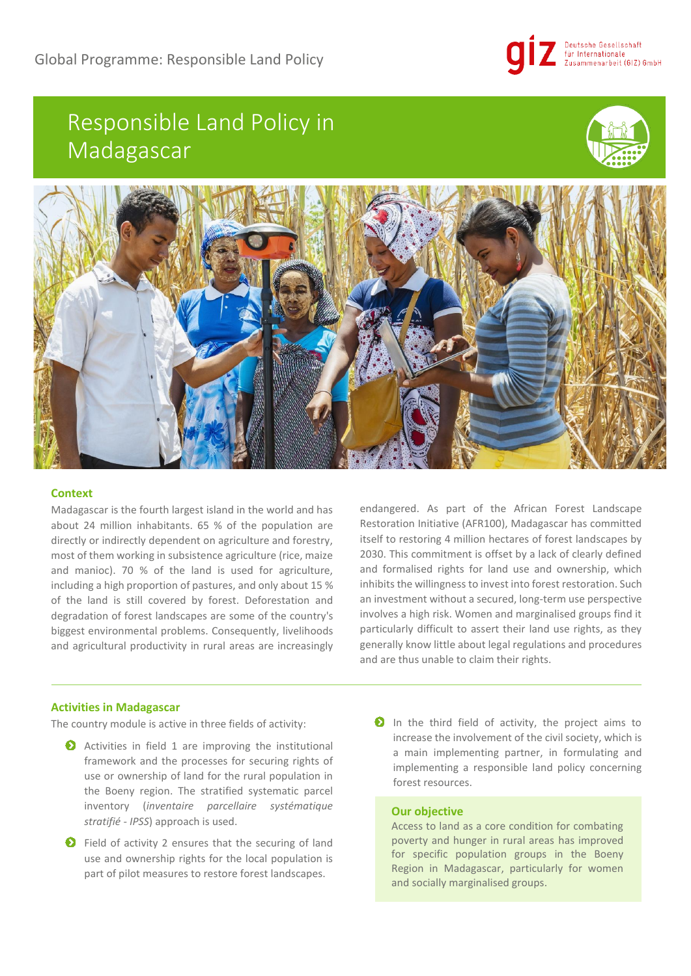

# Responsible Land Policy in Madagascar





# **Context**

Madagascar is the fourth largest island in the world and has about 24 million inhabitants. 65 % of the population are directly or indirectly dependent on agriculture and forestry, most of them working in subsistence agriculture (rice, maize and manioc). 70 % of the land is used for agriculture, including a high proportion of pastures, and only about 15 % of the land is still covered by forest. Deforestation and degradation of forest landscapes are some of the country's biggest environmental problems. Consequently, livelihoods and agricultural productivity in rural areas are increasingly endangered. As part of the African Forest Landscape Restoration Initiative (AFR100), Madagascar has committed itself to restoring 4 million hectares of forest landscapes by 2030. This commitment is offset by a lack of clearly defined and formalised rights for land use and ownership, which inhibits the willingness to invest into forest restoration. Such an investment without a secured, long-term use perspective involves a high risk. Women and marginalised groups find it particularly difficult to assert their land use rights, as they generally know little about legal regulations and procedures and are thus unable to claim their rights.

# **Activities in Madagascar**

The country module is active in three fields of activity:

- Activities in field 1 are improving the institutional framework and the processes for securing rights of use or ownership of land for the rural population in the Boeny region. The stratified systematic parcel inventory (*inventaire parcellaire systématique stratifié - IPSS*) approach is used.
- **O** Field of activity 2 ensures that the securing of land use and ownership rights for the local population is part of pilot measures to restore forest landscapes.
- **O** In the third field of activity, the project aims to increase the involvement of the civil society, which is a main implementing partner, in formulating and implementing a responsible land policy concerning forest resources.

### **Our objective**

Access to land as a core condition for combating poverty and hunger in rural areas has improved for specific population groups in the Boeny Region in Madagascar, particularly for women and socially marginalised groups.